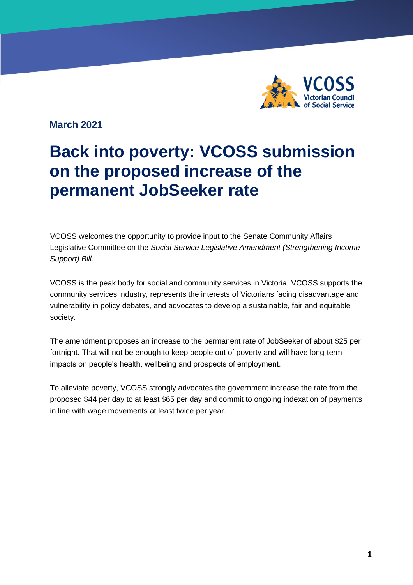

**vcoss.org.au**

**March 2021**

# **Back into poverty: VCOSS submission on the proposed increase of the permanent JobSeeker rate**

VCOSS welcomes the opportunity to provide input to the Senate Community Affairs Legislative Committee on the *Social Service Legislative Amendment (Strengthening Income Support) Bill*.

VCOSS is the peak body for social and community services in Victoria. VCOSS supports the community services industry, represents the interests of Victorians facing disadvantage and vulnerability in policy debates, and advocates to develop a sustainable, fair and equitable society.

The amendment proposes an increase to the permanent rate of JobSeeker of about \$25 per fortnight. That will not be enough to keep people out of poverty and will have long-term impacts on people's health, wellbeing and prospects of employment.

To alleviate poverty, VCOSS strongly advocates the government increase the rate from the proposed \$44 per day to at least \$65 per day and commit to ongoing indexation of payments in line with wage movements at least twice per year.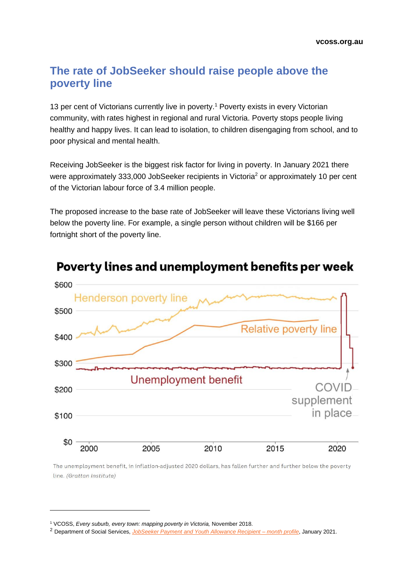## **The rate of JobSeeker should raise people above the poverty line**

13 per cent of Victorians currently live in poverty.<sup>1</sup> Poverty exists in every Victorian community, with rates highest in regional and rural Victoria. Poverty stops people living healthy and happy lives. It can lead to isolation, to children disengaging from school, and to poor physical and mental health.

Receiving JobSeeker is the biggest risk factor for living in poverty. In January 2021 there were approximately 333,000 JobSeeker recipients in Victoria<sup>2</sup> or approximately 10 per cent of the Victorian labour force of 3.4 million people.

The proposed increase to the base rate of JobSeeker will leave these Victorians living well below the poverty line. For example, a single person without children will be \$166 per fortnight short of the poverty line.



Poverty lines and unemployment benefits per week

The unemployment benefit, in inflation-adjusted 2020 dollars, has fallen further and further below the poverty line. (Grattan Institute)

<sup>1</sup> VCOSS, *Every suburb, every town: mapping poverty in Victoria,* November 2018.

<sup>2</sup> Department of Social Services, *[JobSeeker Payment and Youth Allowance Recipient –](https://data.gov.au/dataset/ds-dga-728daa75-06e8-442d-931c-93ecc6a57880/details?q=jobseeker) month profile*, January 2021.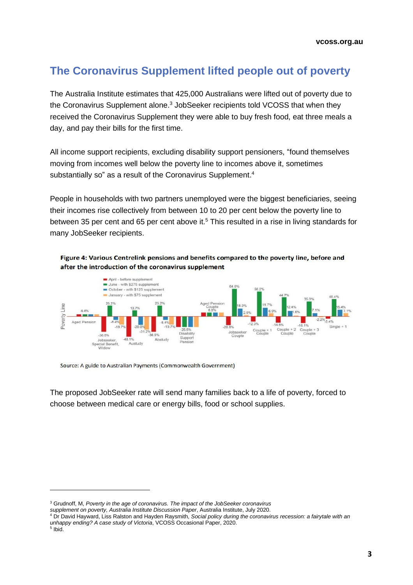# **The Coronavirus Supplement lifted people out of poverty**

The Australia Institute estimates that 425,000 Australians were lifted out of poverty due to the Coronavirus Supplement alone.<sup>3</sup> JobSeeker recipients told VCOSS that when they received the Coronavirus Supplement they were able to buy fresh food, eat three meals a day, and pay their bills for the first time.

All income support recipients, excluding disability support pensioners, "found themselves moving from incomes well below the poverty line to incomes above it, sometimes substantially so" as a result of the Coronavirus Supplement. 4

People in households with two partners unemployed were the biggest beneficiaries, seeing their incomes rise collectively from between 10 to 20 per cent below the poverty line to between 35 per cent and 65 per cent above it.<sup>5</sup> This resulted in a rise in living standards for many JobSeeker recipients.

#### Figure 4: Various Centrelink pensions and benefits compared to the poverty line, before and after the introduction of the coronavirus supplement



Source: A guide to Australian Payments (Commonwealth Government)

The proposed JobSeeker rate will send many families back to a life of poverty, forced to choose between medical care or energy bills, food or school supplies.

<sup>3</sup> Grudnoff, M, *Poverty in the age of coronavirus. The impact of the JobSeeker coronavirus*

*supplement on poverty, Australia Institute Discussion Paper*, Australia Institute, July 2020.

<sup>4</sup> Dr David Hayward, Liss Ralston and Hayden Raysmith, *Social policy during the coronavirus recession: a fairytale with an unhappy ending? A case study of Victoria*, VCOSS Occasional Paper, 2020.

<sup>5</sup> Ibid.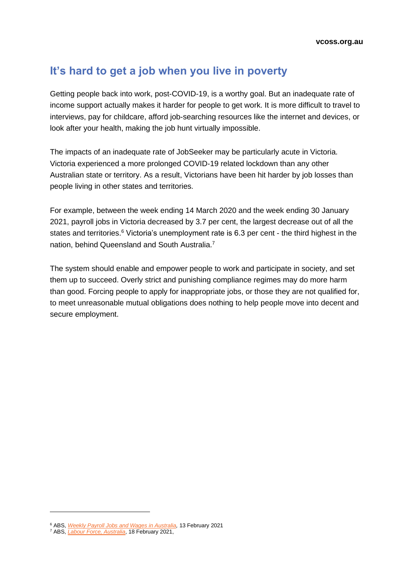## **It's hard to get a job when you live in poverty**

Getting people back into work, post-COVID-19, is a worthy goal. But an inadequate rate of income support actually makes it harder for people to get work. It is more difficult to travel to interviews, pay for childcare, afford job-searching resources like the internet and devices, or look after your health, making the job hunt virtually impossible.

The impacts of an inadequate rate of JobSeeker may be particularly acute in Victoria. Victoria experienced a more prolonged COVID-19 related lockdown than any other Australian state or territory. As a result, Victorians have been hit harder by job losses than people living in other states and territories.

For example, between the week ending 14 March 2020 and the week ending 30 January 2021, payroll jobs in Victoria decreased by 3.7 per cent, the largest decrease out of all the states and territories. $6$  Victoria's unemployment rate is 6.3 per cent - the third highest in the nation, behind Queensland and South Australia.<sup>7</sup>

The system should enable and empower people to work and participate in society, and set them up to succeed. Overly strict and punishing compliance regimes may do more harm than good. Forcing people to apply for inappropriate jobs, or those they are not qualified for, to meet unreasonable mutual obligations does nothing to help people move into decent and secure employment.

<sup>6</sup> ABS, *[Weekly Payroll Jobs and Wages in Australia,](https://www.abs.gov.au/statistics/labour/earnings-and-work-hours/weekly-payroll-jobs-and-wages-australia/latest-release)* 13 February 2021

<sup>7</sup> ABS, *[Labour Force, Australia](https://www.abs.gov.au/statistics/labour/employment-and-unemployment/labour-force-australia/latest-release)*, 18 February 2021,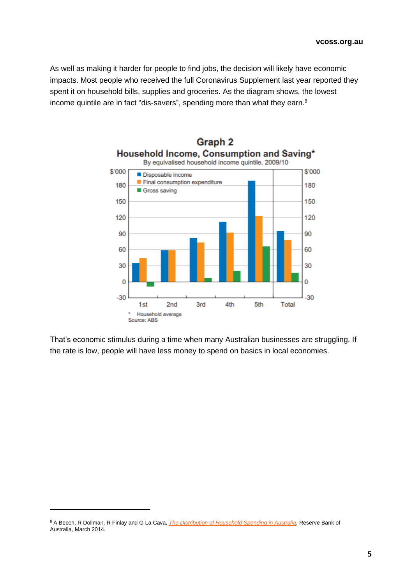As well as making it harder for people to find jobs, the decision will likely have economic impacts. Most people who received the full Coronavirus Supplement last year reported they spent it on household bills, supplies and groceries. As the diagram shows, the lowest income quintile are in fact "dis-savers", spending more than what they earn.<sup>8</sup>



That's economic stimulus during a time when many Australian businesses are struggling. If the rate is low, people will have less money to spend on basics in local economies.

<sup>8</sup> A Beech, R Dollman, R Finlay and G La Cava, *[The Distribution of Household Spending in Australia](https://www.rba.gov.au/publications/bulletin/2014/mar/pdf/bu-0314-2.pdf)***,** Reserve Bank of Australia, March 2014.